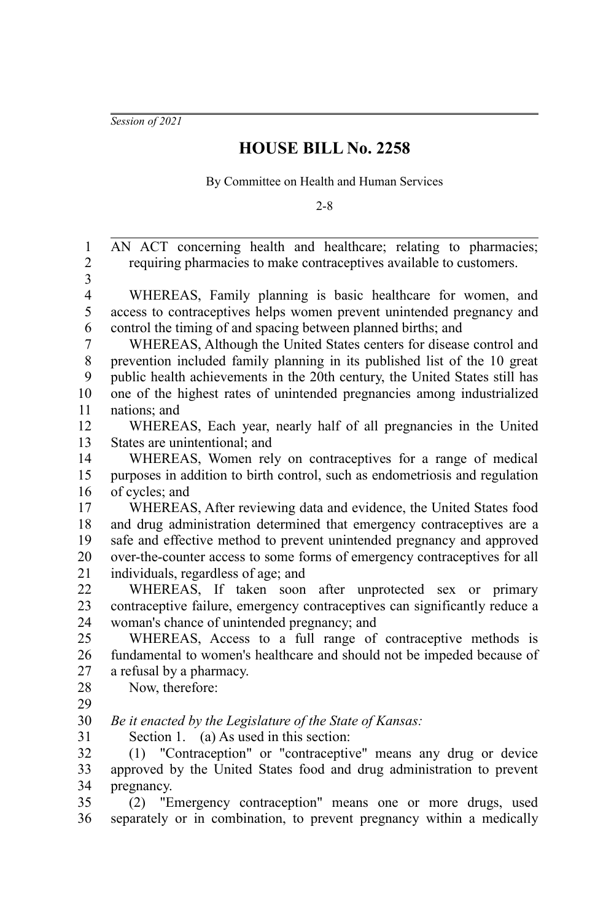*Session of 2021*

## **HOUSE BILL No. 2258**

By Committee on Health and Human Services

2-8

AN ACT concerning health and healthcare; relating to pharmacies; requiring pharmacies to make contraceptives available to customers. WHEREAS, Family planning is basic healthcare for women, and access to contraceptives helps women prevent unintended pregnancy and control the timing of and spacing between planned births; and WHEREAS, Although the United States centers for disease control and prevention included family planning in its published list of the 10 great public health achievements in the 20th century, the United States still has one of the highest rates of unintended pregnancies among industrialized nations; and WHEREAS, Each year, nearly half of all pregnancies in the United States are unintentional; and WHEREAS, Women rely on contraceptives for a range of medical purposes in addition to birth control, such as endometriosis and regulation of cycles; and WHEREAS, After reviewing data and evidence, the United States food and drug administration determined that emergency contraceptives are a safe and effective method to prevent unintended pregnancy and approved over-the-counter access to some forms of emergency contraceptives for all individuals, regardless of age; and WHEREAS, If taken soon after unprotected sex or primary contraceptive failure, emergency contraceptives can significantly reduce a woman's chance of unintended pregnancy; and WHEREAS, Access to a full range of contraceptive methods is fundamental to women's healthcare and should not be impeded because of a refusal by a pharmacy. Now, therefore: *Be it enacted by the Legislature of the State of Kansas:* Section 1. (a) As used in this section: (1) "Contraception" or "contraceptive" means any drug or device approved by the United States food and drug administration to prevent pregnancy. (2) "Emergency contraception" means one or more drugs, used separately or in combination, to prevent pregnancy within a medically 1 2 3 4 5 6 7 8 9 10 11 12 13 14 15 16 17 18 19 20 21 22 23 24 25 26 27 28  $29$ 30 31 32 33 34 35 36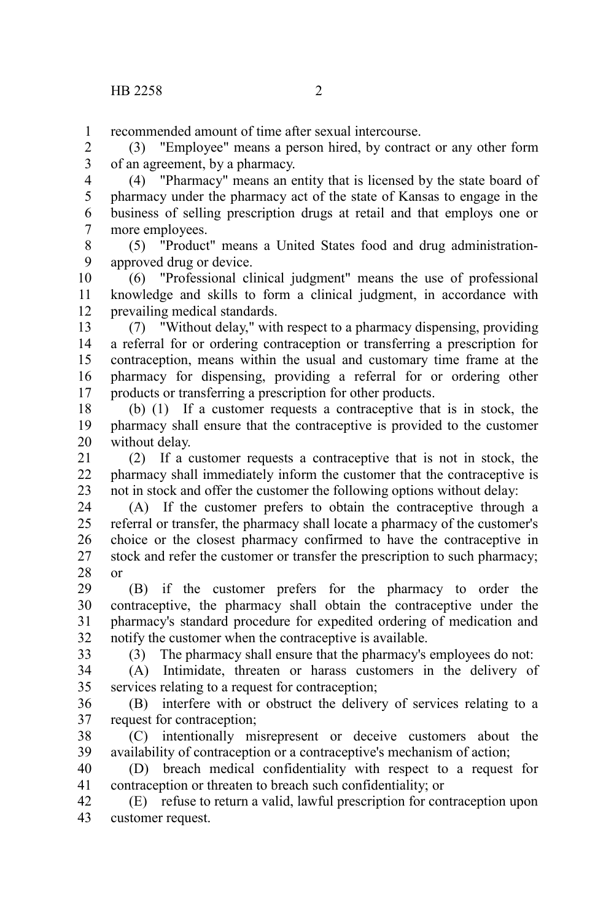recommended amount of time after sexual intercourse. 1

(3) "Employee" means a person hired, by contract or any other form of an agreement, by a pharmacy. 2 3

(4) "Pharmacy" means an entity that is licensed by the state board of pharmacy under the pharmacy act of the state of Kansas to engage in the business of selling prescription drugs at retail and that employs one or more employees. 4 5 6 7 8

(5) "Product" means a United States food and drug administrationapproved drug or device. 9

(6) "Professional clinical judgment" means the use of professional knowledge and skills to form a clinical judgment, in accordance with prevailing medical standards. 10 11 12

(7) "Without delay," with respect to a pharmacy dispensing, providing a referral for or ordering contraception or transferring a prescription for contraception, means within the usual and customary time frame at the pharmacy for dispensing, providing a referral for or ordering other products or transferring a prescription for other products. 13 14 15 16 17

(b) (1) If a customer requests a contraceptive that is in stock, the pharmacy shall ensure that the contraceptive is provided to the customer without delay. 18 19 20

(2) If a customer requests a contraceptive that is not in stock, the pharmacy shall immediately inform the customer that the contraceptive is not in stock and offer the customer the following options without delay: 21 22 23

(A) If the customer prefers to obtain the contraceptive through a referral or transfer, the pharmacy shall locate a pharmacy of the customer's choice or the closest pharmacy confirmed to have the contraceptive in stock and refer the customer or transfer the prescription to such pharmacy; or 24 25 26 27 28

(B) if the customer prefers for the pharmacy to order the contraceptive, the pharmacy shall obtain the contraceptive under the pharmacy's standard procedure for expedited ordering of medication and notify the customer when the contraceptive is available. 29 30 31 32

33

(3) The pharmacy shall ensure that the pharmacy's employees do not:

(A) Intimidate, threaten or harass customers in the delivery of services relating to a request for contraception; 34 35

(B) interfere with or obstruct the delivery of services relating to a request for contraception; 36 37

(C) intentionally misrepresent or deceive customers about the availability of contraception or a contraceptive's mechanism of action; 38 39

(D) breach medical confidentiality with respect to a request for contraception or threaten to breach such confidentiality; or 40 41

(E) refuse to return a valid, lawful prescription for contraception upon customer request. 42 43